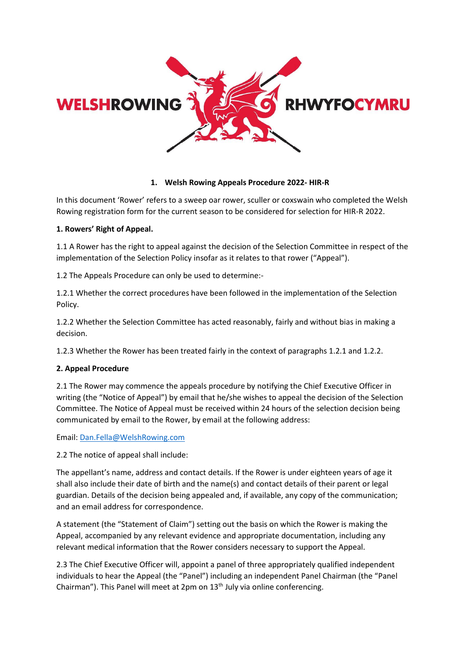

### **1. Welsh Rowing Appeals Procedure 2022- HIR-R**

In this document 'Rower' refers to a sweep oar rower, sculler or coxswain who completed the Welsh Rowing registration form for the current season to be considered for selection for HIR-R 2022.

## **1. Rowers' Right of Appeal.**

1.1 A Rower has the right to appeal against the decision of the Selection Committee in respect of the implementation of the Selection Policy insofar as it relates to that rower ("Appeal").

1.2 The Appeals Procedure can only be used to determine:-

1.2.1 Whether the correct procedures have been followed in the implementation of the Selection Policy.

1.2.2 Whether the Selection Committee has acted reasonably, fairly and without bias in making a decision.

1.2.3 Whether the Rower has been treated fairly in the context of paragraphs 1.2.1 and 1.2.2.

# **2. Appeal Procedure**

2.1 The Rower may commence the appeals procedure by notifying the Chief Executive Officer in writing (the "Notice of Appeal") by email that he/she wishes to appeal the decision of the Selection Committee. The Notice of Appeal must be received within 24 hours of the selection decision being communicated by email to the Rower, by email at the following address:

Email: [Dan.Fella@WelshRowing.com](mailto:Dan.Fella@WelshRowing.com)

2.2 The notice of appeal shall include:

The appellant's name, address and contact details. If the Rower is under eighteen years of age it shall also include their date of birth and the name(s) and contact details of their parent or legal guardian. Details of the decision being appealed and, if available, any copy of the communication; and an email address for correspondence.

A statement (the "Statement of Claim") setting out the basis on which the Rower is making the Appeal, accompanied by any relevant evidence and appropriate documentation, including any relevant medical information that the Rower considers necessary to support the Appeal.

2.3 The Chief Executive Officer will, appoint a panel of three appropriately qualified independent individuals to hear the Appeal (the "Panel") including an independent Panel Chairman (the "Panel Chairman"). This Panel will meet at 2pm on 13<sup>th</sup> July via online conferencing.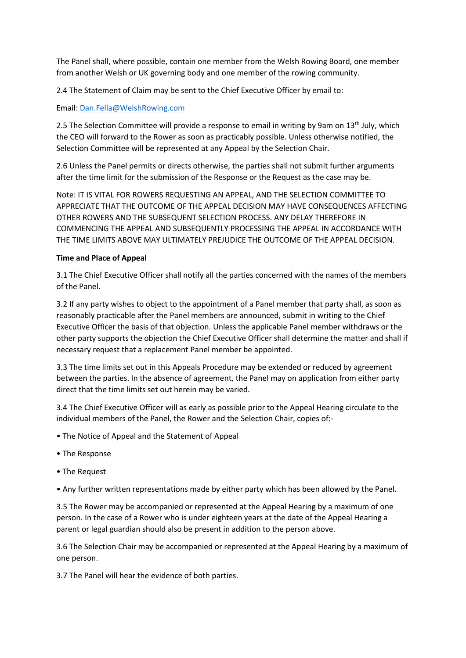The Panel shall, where possible, contain one member from the Welsh Rowing Board, one member from another Welsh or UK governing body and one member of the rowing community.

2.4 The Statement of Claim may be sent to the Chief Executive Officer by email to:

## Email: [Dan.Fella@WelshRowing.com](mailto:Dan.Fella@WelshRowing.com)

2.5 The Selection Committee will provide a response to email in writing by 9am on 13<sup>th</sup> July, which the CEO will forward to the Rower as soon as practicably possible. Unless otherwise notified, the Selection Committee will be represented at any Appeal by the Selection Chair.

2.6 Unless the Panel permits or directs otherwise, the parties shall not submit further arguments after the time limit for the submission of the Response or the Request as the case may be.

Note: IT IS VITAL FOR ROWERS REQUESTING AN APPEAL, AND THE SELECTION COMMITTEE TO APPRECIATE THAT THE OUTCOME OF THE APPEAL DECISION MAY HAVE CONSEQUENCES AFFECTING OTHER ROWERS AND THE SUBSEQUENT SELECTION PROCESS. ANY DELAY THEREFORE IN COMMENCING THE APPEAL AND SUBSEQUENTLY PROCESSING THE APPEAL IN ACCORDANCE WITH THE TIME LIMITS ABOVE MAY ULTIMATELY PREJUDICE THE OUTCOME OF THE APPEAL DECISION.

### **Time and Place of Appeal**

3.1 The Chief Executive Officer shall notify all the parties concerned with the names of the members of the Panel.

3.2 If any party wishes to object to the appointment of a Panel member that party shall, as soon as reasonably practicable after the Panel members are announced, submit in writing to the Chief Executive Officer the basis of that objection. Unless the applicable Panel member withdraws or the other party supports the objection the Chief Executive Officer shall determine the matter and shall if necessary request that a replacement Panel member be appointed.

3.3 The time limits set out in this Appeals Procedure may be extended or reduced by agreement between the parties. In the absence of agreement, the Panel may on application from either party direct that the time limits set out herein may be varied.

3.4 The Chief Executive Officer will as early as possible prior to the Appeal Hearing circulate to the individual members of the Panel, the Rower and the Selection Chair, copies of:-

- The Notice of Appeal and the Statement of Appeal
- The Response
- The Request
- Any further written representations made by either party which has been allowed by the Panel.

3.5 The Rower may be accompanied or represented at the Appeal Hearing by a maximum of one person. In the case of a Rower who is under eighteen years at the date of the Appeal Hearing a parent or legal guardian should also be present in addition to the person above.

3.6 The Selection Chair may be accompanied or represented at the Appeal Hearing by a maximum of one person.

3.7 The Panel will hear the evidence of both parties.